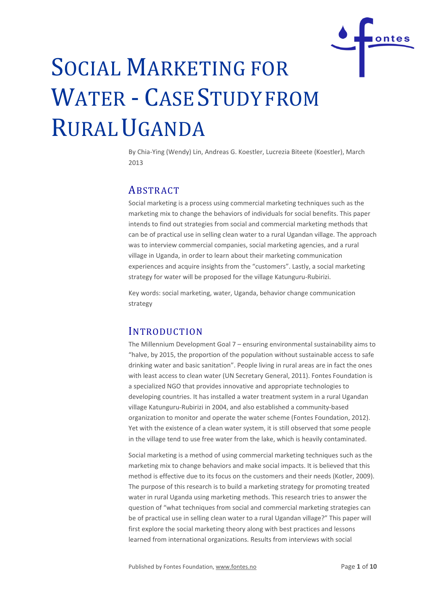

By Chia-Ying (Wendy) Lin, Andreas G. Koestler, Lucrezia Biteete (Koestler), March  $2012$ 

# ABSTRACT

Social marketing is a process using commercial marketing techniques such as the marketing mix to change the behaviors of individuals for social benefits. This paper intends to find out strategies from social and commercial marketing methods that can be of practical use in selling clean water to a rural Ugandan village. The approach was to interview commercial companies, social marketing agencies, and a rural village in Uganda, in order to learn about their marketing communication experiences and acquire insights from the "customers". Lastly, a social marketing strategy for water will be proposed for the village Katunguru-Rubirizi.

Key words: social marketing, water, Uganda, behavior change communication strategy

# INTRODUCTION

The Millennium Development Goal 7 – ensuring environmental sustainability aims to "halve, by 2015, the proportion of the population without sustainable access to safe drinking water and basic sanitation". People living in rural areas are in fact the ones with least access to clean water (UN Secretary General, 2011). Fontes Foundation is a specialized NGO that provides innovative and appropriate technologies to developing countries. It has installed a water treatment system in a rural Ugandan village Katunguru-Rubirizi in 2004, and also established a community-based organization to monitor and operate the water scheme (Fontes Foundation, 2012). Yet with the existence of a clean water system, it is still observed that some people in the village tend to use free water from the lake, which is heavily contaminated.

Social marketing is a method of using commercial marketing techniques such as the marketing mix to change behaviors and make social impacts. It is believed that this method is effective due to its focus on the customers and their needs (Kotler, 2009). The purpose of this research is to build a marketing strategy for promoting treated water in rural Uganda using marketing methods. This research tries to answer the question of "what techniques from social and commercial marketing strategies can be of practical use in selling clean water to a rural Ugandan village?" This paper will first explore the social marketing theory along with best practices and lessons learned from international organizations. Results from interviews with social

ontes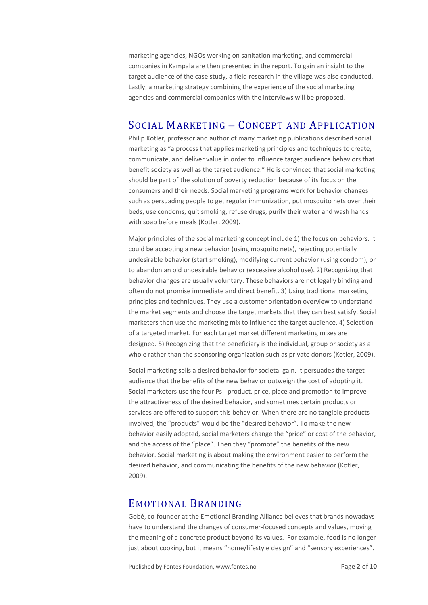marketing agencies, NGOs working on sanitation marketing, and commercial companies in Kampala are then presented in the report. To gain an insight to the target audience of the case study, a field research in the village was also conducted. Lastly, a marketing strategy combining the experience of the social marketing agencies and commercial companies with the interviews will be proposed.

# SOCIAL MARKETING – CONCEPT AND APPLICATION

Philip Kotler, professor and author of many marketing publications described social marketing as "a process that applies marketing principles and techniques to create, communicate, and deliver value in order to influence target audience behaviors that benefit society as well as the target audience." He is convinced that social marketing should be part of the solution of poverty reduction because of its focus on the consumers and their needs. Social marketing programs work for behavior changes such as persuading people to get regular immunization, put mosquito nets over their beds, use condoms, quit smoking, refuse drugs, purify their water and wash hands with soap before meals (Kotler, 2009).

Major principles of the social marketing concept include 1) the focus on behaviors. It could be accepting a new behavior (using mosquito nets), rejecting potentially undesirable behavior (start smoking), modifying current behavior (using condom), or to abandon an old undesirable behavior (excessive alcohol use). 2) Recognizing that behavior changes are usually voluntary. These behaviors are not legally binding and often do not promise immediate and direct benefit. 3) Using traditional marketing principles and techniques. They use a customer orientation overview to understand the market segments and choose the target markets that they can best satisfy. Social marketers then use the marketing mix to influence the target audience. 4) Selection of a targeted market. For each target market different marketing mixes are designed. 5) Recognizing that the beneficiary is the individual, group or society as a whole rather than the sponsoring organization such as private donors (Kotler, 2009).

Social marketing sells a desired behavior for societal gain. It persuades the target audience that the benefits of the new behavior outweigh the cost of adopting it. Social marketers use the four Ps - product, price, place and promotion to improve the attractiveness of the desired behavior, and sometimes certain products or services are offered to support this behavior. When there are no tangible products involved, the "products" would be the "desired behavior". To make the new behavior easily adopted, social marketers change the "price" or cost of the behavior, and the access of the "place". Then they "promote" the benefits of the new behavior. Social marketing is about making the environment easier to perform the desired behavior, and communicating the benefits of the new behavior (Kotler, 2009).

# EMOTIONAL BRANDING

Gobé, co-founder at the Emotional Branding Alliance believes that brands nowadays have to understand the changes of consumer-focused concepts and values, moving the meaning of a concrete product beyond its values. For example, food is no longer just about cooking, but it means "home/lifestyle design" and "sensory experiences".

Published by Fontes Foundation[, www.fontes.no](http://www.fontes.no/) Page **2** of **10**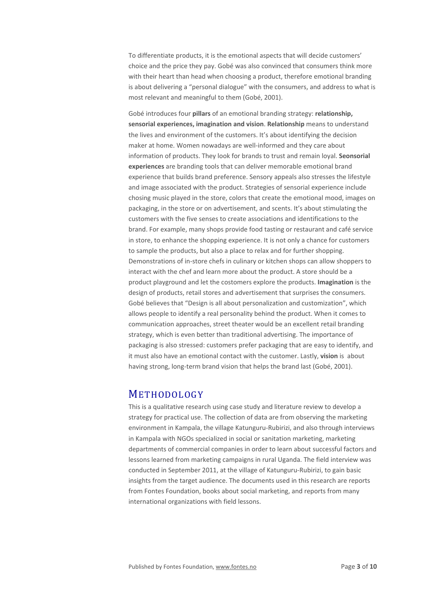To differentiate products, it is the emotional aspects that will decide customers' choice and the price they pay. Gobé was also convinced that consumers think more with their heart than head when choosing a product, therefore emotional branding is about delivering a "personal dialogue" with the consumers, and address to what is most relevant and meaningful to them (Gobé, 2001).

Gobé introduces four **pillars** of an emotional branding strategy: **relationship, sensorial experiences, imagination and vision**. **Relationship** means to understand the lives and environment of the customers. It's about identifying the decision maker at home. Women nowadays are well-informed and they care about information of products. They look for brands to trust and remain loyal. **Seonsorial experiences** are branding tools that can deliver memorable emotional brand experience that builds brand preference. Sensory appeals also stresses the lifestyle and image associated with the product. Strategies of sensorial experience include chosing music played in the store, colors that create the emotional mood, images on packaging, in the store or on advertisement, and scents. It's about stimulating the customers with the five senses to create associations and identifications to the brand. For example, many shops provide food tasting or restaurant and café service in store, to enhance the shopping experience. It is not only a chance for customers to sample the products, but also a place to relax and for further shopping. Demonstrations of in-store chefs in culinary or kitchen shops can allow shoppers to interact with the chef and learn more about the product. A store should be a product playground and let the costomers explore the products. **Imagination** is the design of products, retail stores and advertisement that surprises the consumers. Gobé believes that "Design is all about personalization and customization", which allows people to identify a real personality behind the product. When it comes to communication approaches, street theater would be an excellent retail branding strategy, which is even better than traditional advertising. The importance of packaging is also stressed: customers prefer packaging that are easy to identify, and it must also have an emotional contact with the customer. Lastly, **vision** is about having strong, long-term brand vision that helps the brand last (Gobé, 2001).

# METHODOLOGY

This is a qualitative research using case study and literature review to develop a strategy for practical use. The collection of data are from observing the marketing environment in Kampala, the village Katunguru-Rubirizi, and also through interviews in Kampala with NGOs specialized in social or sanitation marketing, marketing departments of commercial companies in order to learn about successful factors and lessons learned from marketing campaigns in rural Uganda. The field interview was conducted in September 2011, at the village of Katunguru-Rubirizi, to gain basic insights from the target audience. The documents used in this research are reports from Fontes Foundation, books about social marketing, and reports from many international organizations with field lessons.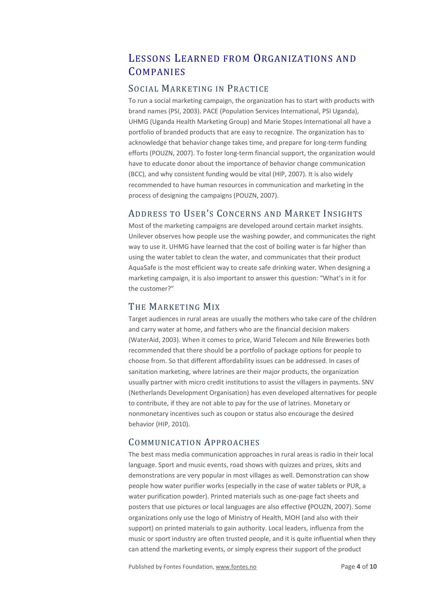# LESSONS LEARNED FROM ORGANIZATIONS AND **COMPANIES**

# SOCIAL MARKETING IN PRACTICE

To run a social marketing campaign, the organization has to start with products with brand names (PSI, 2003). PACE (Population Services International, PSI Uganda), UHMG (Uganda Health Marketing Group) and Marie Stopes International all have a portfolio of branded products that are easy to recognize. The organization has to acknowledge that behavior change takes time, and prepare for long-term funding efforts (POUZN, 2007). To foster long-term financial support, the organization would have to educate donor about the importance of behavior change communication (BCC), and why consistent funding would be vital (HIP, 2007). It is also widely recommended to have human resources in communication and marketing in the process of designing the campaigns (POUZN, 2007).

# ADDRESS TO USER'S CONCERNS AND MARKET INSIGHTS

Most of the marketing campaigns are developed around certain market insights. Unilever observes how people use the washing powder, and communicates the right way to use it. UHMG have learned that the cost of boiling water is far higher than using the water tablet to clean the water, and communicates that their product AquaSafe is the most efficient way to create safe drinking water. When designing a marketing campaign, it is also important to answer this question: "What's in it for the customer?"

# THE MARKETING MIX

Target audiences in rural areas are usually the mothers who take care of the children and carry water at home, and fathers who are the financial decision makers (WaterAid, 2003). When it comes to price, Warid Telecom and Nile Breweries both recommended that there should be a portfolio of package options for people to choose from. So that different affordability issues can be addressed. In cases of sanitation marketing, where latrines are their major products, the organization usually partner with micro credit institutions to assist the villagers in payments. SNV (Netherlands Development Organisation) has even developed alternatives for people to contribute, if they are not able to pay for the use of latrines. Monetary or nonmonetary incentives such as coupon or status also encourage the desired behavior (HIP, 2010).

# COMMUNICATION APPROACHES

The best mass media communication approaches in rural areas is radio in their local language. Sport and music events, road shows with quizzes and prizes, skits and demonstrations are very popular in most villages as well. Demonstration can show people how water purifier works (especially in the case of water tablets or PUR, a water purification powder). Printed materials such as one-page fact sheets and posters that use pictures or local languages are also effective (POUZN, 2007). Some organizations only use the logo of Ministry of Health, MOH (and also with their support) on printed materials to gain authority. Local leaders, influenza from the music or sport industry are often trusted people, and it is quite influential when they can attend the marketing events, or simply express their support of the product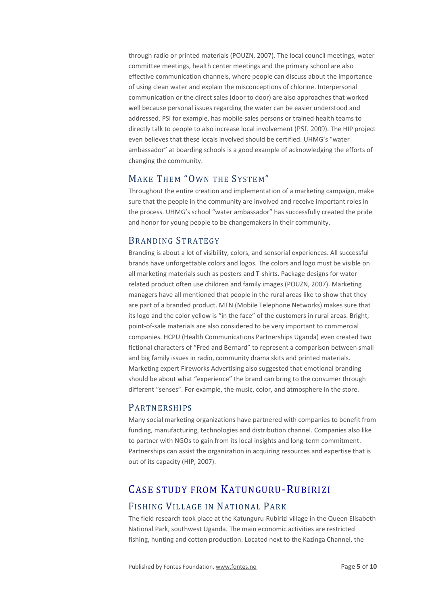through radio or printed materials (POUZN, 2007). The local council meetings, water committee meetings, health center meetings and the primary school are also effective communication channels, where people can discuss about the importance of using clean water and explain the misconceptions of chlorine. Interpersonal communication or the direct sales (door to door) are also approaches that worked well because personal issues regarding the water can be easier understood and addressed. PSI for example, has mobile sales persons or trained health teams to directly talk to people to also increase local involvement (PSI, 2009). The HIP project even believes that these locals involved should be certified. UHMG's "water ambassador" at boarding schools is a good example of acknowledging the efforts of changing the community.

# MAKE THEM "OWN THE SYSTEM"

Throughout the entire creation and implementation of a marketing campaign, make sure that the people in the community are involved and receive important roles in the process. UHMG's school "water ambassador" has successfully created the pride and honor for young people to be changemakers in their community.

### BRANDING STRATEGY

Branding is about a lot of visibility, colors, and sensorial experiences. All successful brands have unforgettable colors and logos. The colors and logo must be visible on all marketing materials such as posters and T-shirts. Package designs for water related product often use children and family images (POUZN, 2007). Marketing managers have all mentioned that people in the rural areas like to show that they are part of a branded product. MTN (Mobile Telephone Networks) makes sure that its logo and the color yellow is "in the face" of the customers in rural areas. Bright, point-of-sale materials are also considered to be very important to commercial companies. HCPU (Health Communications Partnerships Uganda) even created two fictional characters of "Fred and Bernard" to represent a comparison between small and big family issues in radio, community drama skits and printed materials. Marketing expert Fireworks Advertising also suggested that emotional branding should be about what "experience" the brand can bring to the consumer through different "senses". For example, the music, color, and atmosphere in the store.

## PARTNERSHIPS

Many social marketing organizations have partnered with companies to benefit from funding, manufacturing, technologies and distribution channel. Companies also like to partner with NGOs to gain from its local insights and long-term commitment. Partnerships can assist the organization in acquiring resources and expertise that is out of its capacity (HIP, 2007).

# CASE STUDY FROM KATUNGURU-RUBIRIZI

## FISHING VILLAGE IN NATIONAL PARK

The field research took place at the Katunguru-Rubirizi village in the Queen Elisabeth National Park, southwest Uganda. The main economic activities are restricted fishing, hunting and cotton production. Located next to the Kazinga Channel, the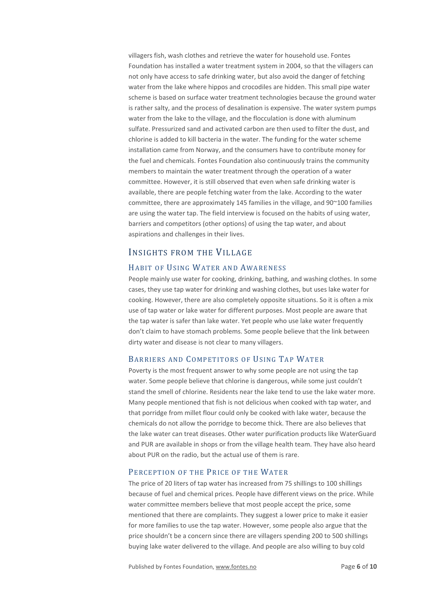villagers fish, wash clothes and retrieve the water for household use. Fontes Foundation has installed a water treatment system in 2004, so that the villagers can not only have access to safe drinking water, but also avoid the danger of fetching water from the lake where hippos and crocodiles are hidden. This small pipe water scheme is based on surface water treatment technologies because the ground water is rather salty, and the process of desalination is expensive. The water system pumps water from the lake to the village, and the flocculation is done with aluminum sulfate. Pressurized sand and activated carbon are then used to filter the dust, and chlorine is added to kill bacteria in the water. The funding for the water scheme installation came from Norway, and the consumers have to contribute money for the fuel and chemicals. Fontes Foundation also continuously trains the community members to maintain the water treatment through the operation of a water committee. However, it is still observed that even when safe drinking water is available, there are people fetching water from the lake. According to the water committee, there are approximately 145 families in the village, and 90~100 families are using the water tap. The field interview is focused on the habits of using water, barriers and competitors (other options) of using the tap water, and about aspirations and challenges in their lives.

### INSIGHTS FROM THE VILLAGE

#### HABIT OF USING WATER AND AWARENESS

People mainly use water for cooking, drinking, bathing, and washing clothes. In some cases, they use tap water for drinking and washing clothes, but uses lake water for cooking. However, there are also completely opposite situations. So it is often a mix use of tap water or lake water for different purposes. Most people are aware that the tap water is safer than lake water. Yet people who use lake water frequently don't claim to have stomach problems. Some people believe that the link between dirty water and disease is not clear to many villagers.

#### BARRIERS AND COMPETITORS OF USING TAP WATER

Poverty is the most frequent answer to why some people are not using the tap water. Some people believe that chlorine is dangerous, while some just couldn't stand the smell of chlorine. Residents near the lake tend to use the lake water more. Many people mentioned that fish is not delicious when cooked with tap water, and that porridge from millet flour could only be cooked with lake water, because the chemicals do not allow the porridge to become thick. There are also believes that the lake water can treat diseases. Other water purification products like WaterGuard and PUR are available in shops or from the village health team. They have also heard about PUR on the radio, but the actual use of them is rare.

#### PERCEPTION OF THE PRICE OF THE WATER

The price of 20 liters of tap water has increased from 75 shillings to 100 shillings because of fuel and chemical prices. People have different views on the price. While water committee members believe that most people accept the price, some mentioned that there are complaints. They suggest a lower price to make it easier for more families to use the tap water. However, some people also argue that the price shouldn't be a concern since there are villagers spending 200 to 500 shillings buying lake water delivered to the village. And people are also willing to buy cold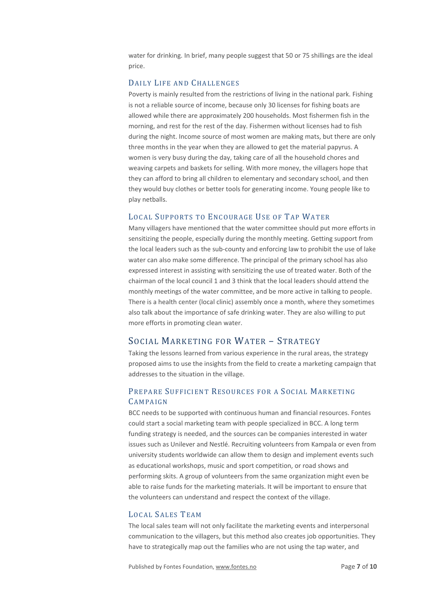water for drinking. In brief, many people suggest that 50 or 75 shillings are the ideal price.

### DAILY LIFE AND CHALLENGES

Poverty is mainly resulted from the restrictions of living in the national park. Fishing is not a reliable source of income, because only 30 licenses for fishing boats are allowed while there are approximately 200 households. Most fishermen fish in the morning, and rest for the rest of the day. Fishermen without licenses had to fish during the night. Income source of most women are making mats, but there are only three months in the year when they are allowed to get the material papyrus. A women is very busy during the day, taking care of all the household chores and weaving carpets and baskets for selling. With more money, the villagers hope that they can afford to bring all children to elementary and secondary school, and then they would buy clothes or better tools for generating income. Young people like to play netballs.

### LOCAL SUPPORTS TO ENCOURAGE USE OF TAP WATER

Many villagers have mentioned that the water committee should put more efforts in sensitizing the people, especially during the monthly meeting. Getting support from the local leaders such as the sub-county and enforcing law to prohibit the use of lake water can also make some difference. The principal of the primary school has also expressed interest in assisting with sensitizing the use of treated water. Both of the chairman of the local council 1 and 3 think that the local leaders should attend the monthly meetings of the water committee, and be more active in talking to people. There is a health center (local clinic) assembly once a month, where they sometimes also talk about the importance of safe drinking water. They are also willing to put more efforts in promoting clean water.

## SOCIAL MARKETING FOR WATER – STRATEGY

Taking the lessons learned from various experience in the rural areas, the strategy proposed aims to use the insights from the field to create a marketing campaign that addresses to the situation in the village.

# PREPARE SUFFICIENT RESOURCES FOR A SOCIAL MARKETING CAMPAIGN

BCC needs to be supported with continuous human and financial resources. Fontes could start a social marketing team with people specialized in BCC. A long term funding strategy is needed, and the sources can be companies interested in water issues such as Unilever and Nestlé. Recruiting volunteers from Kampala or even from university students worldwide can allow them to design and implement events such as educational workshops, music and sport competition, or road shows and performing skits. A group of volunteers from the same organization might even be able to raise funds for the marketing materials. It will be important to ensure that the volunteers can understand and respect the context of the village.

### LOCAL SALES TEAM

The local sales team will not only facilitate the marketing events and interpersonal communication to the villagers, but this method also creates job opportunities. They have to strategically map out the families who are not using the tap water, and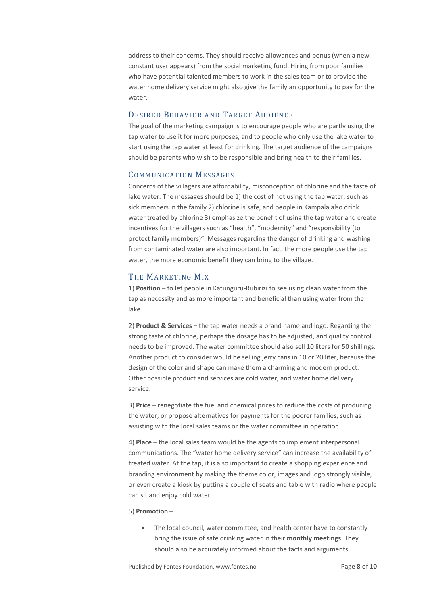address to their concerns. They should receive allowances and bonus (when a new constant user appears) from the social marketing fund. Hiring from poor families who have potential talented members to work in the sales team or to provide the water home delivery service might also give the family an opportunity to pay for the water.

#### DESIRED BEHAVIOR AND TARGET AUDIENCE

The goal of the marketing campaign is to encourage people who are partly using the tap water to use it for more purposes, and to people who only use the lake water to start using the tap water at least for drinking. The target audience of the campaigns should be parents who wish to be responsible and bring health to their families.

#### COMMUNICATION MESSAGES

Concerns of the villagers are affordability, misconception of chlorine and the taste of lake water. The messages should be 1) the cost of not using the tap water, such as sick members in the family 2) chlorine is safe, and people in Kampala also drink water treated by chlorine 3) emphasize the benefit of using the tap water and create incentives for the villagers such as "health", "modernity" and "responsibility (to protect family members)". Messages regarding the danger of drinking and washing from contaminated water are also important. In fact, the more people use the tap water, the more economic benefit they can bring to the village.

#### THE MARKETING MIX

1) **Position** – to let people in Katunguru-Rubirizi to see using clean water from the tap as necessity and as more important and beneficial than using water from the lake.

2) **Product & Services** – the tap water needs a brand name and logo. Regarding the strong taste of chlorine, perhaps the dosage has to be adjusted, and quality control needs to be improved. The water committee should also sell 10 liters for 50 shillings. Another product to consider would be selling jerry cans in 10 or 20 liter, because the design of the color and shape can make them a charming and modern product. Other possible product and services are cold water, and water home delivery service.

3) **Price** – renegotiate the fuel and chemical prices to reduce the costs of producing the water; or propose alternatives for payments for the poorer families, such as assisting with the local sales teams or the water committee in operation.

4) **Place** – the local sales team would be the agents to implement interpersonal communications. The "water home delivery service" can increase the availability of treated water. At the tap, it is also important to create a shopping experience and branding environment by making the theme color, images and logo strongly visible, or even create a kiosk by putting a couple of seats and table with radio where people can sit and enjoy cold water.

#### 5) **Promotion** –

• The local council, water committee, and health center have to constantly bring the issue of safe drinking water in their **monthly meetings**. They should also be accurately informed about the facts and arguments.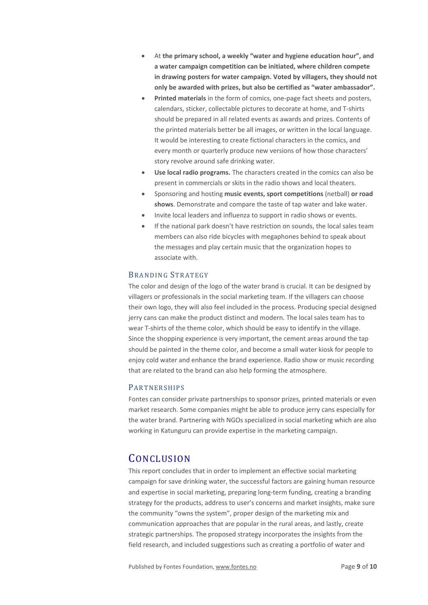- At **the primary school, a weekly "water and hygiene education hour", and a water campaign competition can be initiated, where children compete in drawing posters for water campaign. Voted by villagers, they should not only be awarded with prizes, but also be certified as "water ambassador".**
- **Printed materials** in the form of comics, one-page fact sheets and posters, calendars, sticker, collectable pictures to decorate at home, and T-shirts should be prepared in all related events as awards and prizes. Contents of the printed materials better be all images, or written in the local language. It would be interesting to create fictional characters in the comics, and every month or quarterly produce new versions of how those characters' story revolve around safe drinking water.
- **Use local radio programs.** The characters created in the comics can also be present in commercials or skits in the radio shows and local theaters.
- Sponsoring and hosting **music events, sport competitions** (netball) **or road shows**. Demonstrate and compare the taste of tap water and lake water.
- Invite local leaders and influenza to support in radio shows or events.
- If the national park doesn't have restriction on sounds, the local sales team members can also ride bicycles with megaphones behind to speak about the messages and play certain music that the organization hopes to associate with.

#### BRANDING STRATEGY

The color and design of the logo of the water brand is crucial. It can be designed by villagers or professionals in the social marketing team. If the villagers can choose their own logo, they will also feel included in the process. Producing special designed jerry cans can make the product distinct and modern. The local sales team has to wear T-shirts of the theme color, which should be easy to identify in the village. Since the shopping experience is very important, the cement areas around the tap should be painted in the theme color, and become a small water kiosk for people to enjoy cold water and enhance the brand experience. Radio show or music recording that are related to the brand can also help forming the atmosphere.

#### PARTNERSHIPS

Fontes can consider private partnerships to sponsor prizes, printed materials or even market research. Some companies might be able to produce jerry cans especially for the water brand. Partnering with NGOs specialized in social marketing which are also working in Katunguru can provide expertise in the marketing campaign.

# **CONCLUSION**

This report concludes that in order to implement an effective social marketing campaign for save drinking water, the successful factors are gaining human resource and expertise in social marketing, preparing long-term funding, creating a branding strategy for the products, address to user's concerns and market insights, make sure the community "owns the system", proper design of the marketing mix and communication approaches that are popular in the rural areas, and lastly, create strategic partnerships. The proposed strategy incorporates the insights from the field research, and included suggestions such as creating a portfolio of water and